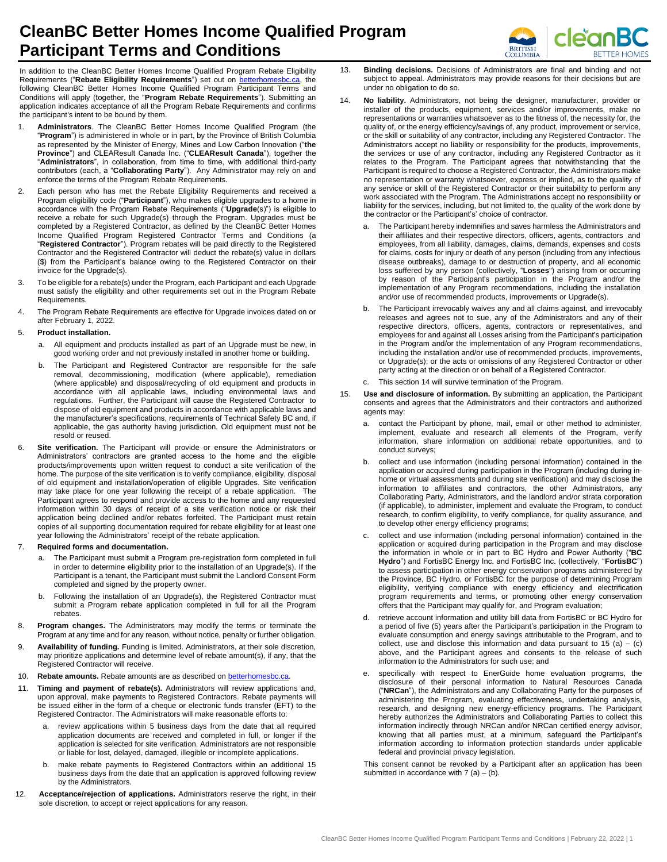## **CleanBC Better Homes Income Qualified Program Participant Terms and Conditions**



In addition to the CleanBC Better Homes Income Qualified Program Rebate Eligibility Requirements ("Rebate Eligibility Requirements") set out on **betterhomes** following CleanBC Better Homes Income Qualified Program Participant Terms and Conditions will apply (together, the "**Program Rebate Requirements**"). Submitting an application indicates acceptance of all the Program Rebate Requirements and confirms the participant's intent to be bound by them.

- 1. **Administrators**. The CleanBC Better Homes Income Qualified Program (the "**Program**") is administered in whole or in part, by the Province of British Columbia as represented by the Minister of Energy, Mines and Low Carbon Innovation ("**the Province**") and CLEAResult Canada Inc. ("**CLEAResult Canada**"), together the "**Administrators**", in collaboration, from time to time, with additional third-party contributors (each, a "**Collaborating Party**"). Any Administrator may rely on and enforce the terms of the Program Rebate Requirements.
- 2. Each person who has met the Rebate Eligibility Requirements and received a Program eligibility code ("**Participant**"), who makes eligible upgrades to a home in accordance with the Program Rebate Requirements ("**Upgrade**(s)") is eligible to receive a rebate for such Upgrade(s) through the Program. Upgrades must be completed by a Registered Contractor, as defined by the CleanBC Better Homes Income Qualified Program Registered Contractor Terms and Conditions (a "**Registered Contractor**"). Program rebates will be paid directly to the Registered Contractor and the Registered Contractor will deduct the rebate(s) value in dollars (\$) from the Participant's balance owing to the Registered Contractor on their invoice for the Upgrade(s).
- 3. To be eligible for a rebate(s) under the Program, each Participant and each Upgrade must satisfy the eligibility and other requirements set out in the Program Rebate Requirements.
- 4. The Program Rebate Requirements are effective for Upgrade invoices dated on or after February 1, 2022.

## 5. **Product installation.**

- a. All equipment and products installed as part of an Upgrade must be new, in good working order and not previously installed in another home or building.
- b. The Participant and Registered Contractor are responsible for the safe removal, decommissioning, modification (where applicable), remediation (where applicable) and disposal/recycling of old equipment and products in accordance with all applicable laws, including environmental laws and regulations. Further, the Participant will cause the Registered Contractor to dispose of old equipment and products in accordance with applicable laws and the manufacturer's specifications, requirements of Technical Safety BC and, if applicable, the gas authority having jurisdiction. Old equipment must not be resold or reused.
- Site verification. The Participant will provide or ensure the Administrators or Administrators' contractors are granted access to the home and the eligible products/improvements upon written request to conduct a site verification of the home. The purpose of the site verification is to verify compliance, eligibility, disposal of old equipment and installation/operation of eligible Upgrades. Site verification may take place for one year following the receipt of a rebate application. The Participant agrees to respond and provide access to the home and any requested information within 30 days of receipt of a site verification notice or risk their application being declined and/or rebates forfeited. The Participant must retain copies of all supporting documentation required for rebate eligibility for at least one year following the Administrators' receipt of the rebate application.

## 7. **Required forms and documentation.**

- a. The Participant must submit a Program pre-registration form completed in full in order to determine eligibility prior to the installation of an Upgrade(s). If the Participant is a tenant, the Participant must submit the Landlord Consent Form completed and signed by the property owner.
- b. Following the installation of an Upgrade(s), the Registered Contractor must submit a Program rebate application completed in full for all the Program rebates.
- 8. **Program changes.** The Administrators may modify the terms or terminate the Program at any time and for any reason, without notice, penalty or further obligation.
- 9. **Availability of funding.** Funding is limited. Administrators, at their sole discretion, may prioritize applications and determine level of rebate amount(s), if any, that the Registered Contractor will receive.
- 10. **Rebate amounts.** Rebate amounts are as described on **betterhomesbc.ca**.
- 11. **Timing and payment of rebate(s).** Administrators will review applications and, upon approval, make payments to Registered Contractors. Rebate payments will be issued either in the form of a cheque or electronic funds transfer (EFT) to the Registered Contractor. The Administrators will make reasonable efforts to:
	- review applications within 5 business days from the date that all required application documents are received and completed in full, or longer if the application is selected for site verification. Administrators are not responsible or liable for lost, delayed, damaged, illegible or incomplete applications.
	- b. make rebate payments to Registered Contractors within an additional 15 business days from the date that an application is approved following review by the Administrators.
- 12. **Acceptance/rejection of applications.** Administrators reserve the right, in their sole discretion, to accept or reject applications for any reason.
- 13. **Binding decisions.** Decisions of Administrators are final and binding and not subject to appeal. Administrators may provide reasons for their decisions but are under no obligation to do so.
- 14. **No liability.** Administrators, not being the designer, manufacturer, provider or installer of the products, equipment, services and/or improvements, make no representations or warranties whatsoever as to the fitness of, the necessity for, the quality of, or the energy efficiency/savings of, any product, improvement or service, or the skill or suitability of any contractor, including any Registered Contractor. The Administrators accept no liability or responsibility for the products, improvements, the services or use of any contractor, including any Registered Contractor as it relates to the Program. The Participant agrees that notwithstanding that the Participant is required to choose a Registered Contractor, the Administrators make no representation or warranty whatsoever, express or implied, as to the quality of any service or skill of the Registered Contractor or their suitability to perform any work associated with the Program. The Administrations accept no responsibility or liability for the services, including, but not limited to, the quality of the work done by the contractor or the Participant's' choice of contractor.
	- The Participant hereby indemnifies and saves harmless the Administrators and their affiliates and their respective directors, officers, agents, contractors and employees, from all liability, damages, claims, demands, expenses and costs for claims, costs for injury or death of any person (including from any infectious disease outbreaks), damage to or destruction of property, and all economic loss suffered by any person (collectively, "**Losses**") arising from or occurring by reason of the Participant's participation in the Program and/or the implementation of any Program recommendations, including the installation and/or use of recommended products, improvements or Upgrade(s).
	- b. The Participant irrevocably waives any and all claims against, and irrevocably releases and agrees not to sue, any of the Administrators and any of their respective directors, officers, agents, contractors or representatives, and employees for and against all Losses arising from the Participant's participation in the Program and/or the implementation of any Program recommendations, including the installation and/or use of recommended products, improvements, or Upgrade(s); or the acts or omissions of any Registered Contractor or other party acting at the direction or on behalf of a Registered Contractor.
	- This section 14 will survive termination of the Program.
- 15. **Use and disclosure of information.** By submitting an application, the Participant consents and agrees that the Administrators and their contractors and authorized agents may:
	- a. contact the Participant by phone, mail, email or other method to administer, implement, evaluate and research all elements of the Program, verify information, share information on additional rebate opportunities, and to conduct surveys;
	- b. collect and use information (including personal information) contained in the application or acquired during participation in the Program (including during inhome or virtual assessments and during site verification) and may disclose the information to affiliates and contractors, the other Administrators, any Collaborating Party, Administrators, and the landlord and/or strata corporation (if applicable), to administer, implement and evaluate the Program, to conduct research, to confirm eligibility, to verify compliance, for quality assurance, and to develop other energy efficiency programs;
	- c. collect and use information (including personal information) contained in the application or acquired during participation in the Program and may disclose the information in whole or in part to BC Hydro and Power Authority ("**BC Hydro**") and FortisBC Energy Inc. and FortisBC Inc. (collectively, "**FortisBC**") to assess participation in other energy conservation programs administered by the Province, BC Hydro, or FortisBC for the purpose of determining Program eligibility, verifying compliance with energy efficiency and electrification program requirements and terms, or promoting other energy conservation offers that the Participant may qualify for, and Program evaluation;
	- retrieve account information and utility bill data from FortisBC or BC Hydro for a period of five (5) years after the Participant's participation in the Program to evaluate consumption and energy savings attributable to the Program, and to collect, use and disclose this information and data pursuant to 15 (a) – (c) above, and the Participant agrees and consents to the release of such information to the Administrators for such use; and
	- e. specifically with respect to EnerGuide home evaluation programs, the disclosure of their personal information to Natural Resources Canada ("**NRCan**"), the Administrators and any Collaborating Party for the purposes of administering the Program, evaluating effectiveness, undertaking analysis, research, and designing new energy-efficiency programs. The Participant hereby authorizes the Administrators and Collaborating Parties to collect this information indirectly through NRCan and/or NRCan certified energy advisor, knowing that all parties must, at a minimum, safeguard the Participant's information according to information protection standards under applicable federal and provincial privacy legislation.

This consent cannot be revoked by a Participant after an application has been submitted in accordance with  $7$  (a) – (b).